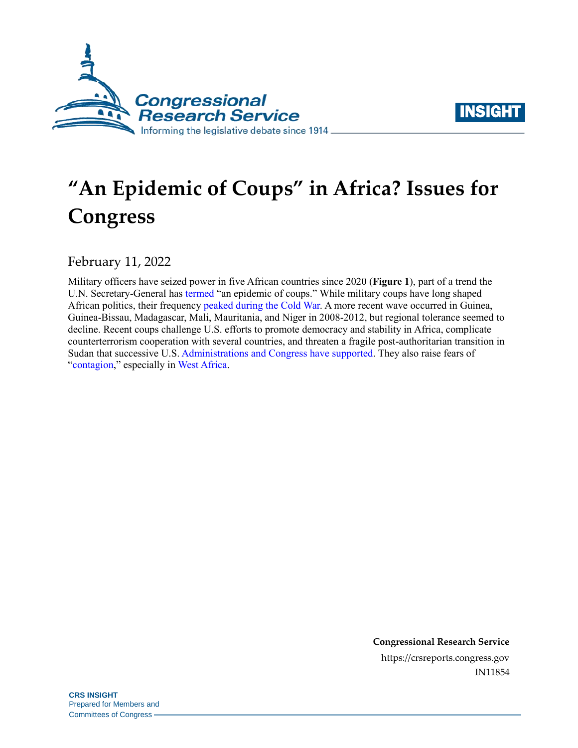



# **"An Epidemic of Coups" in Africa? Issues for Congress**

February 11, 2022

Military officers have seized power in five African countries since 2020 (**Figure 1**), part of a trend the U.N. Secretary-General has [termed](https://www.reuters.com/world/an-epidemic-coups-un-chief-laments-urging-security-council-act-2021-10-26/) "an epidemic of coups." While military coups have long shaped African politics, their frequency [peaked during the Cold War.](https://www.jstor.org/stable/3876235?seq=13#metadata_info_tab_contents) A more recent wave occurred in Guinea, Guinea-Bissau, Madagascar, Mali, Mauritania, and Niger in 2008-2012, but regional tolerance seemed to decline. Recent coups challenge U.S. efforts to promote democracy and stability in Africa, complicate counterterrorism cooperation with several countries, and threaten a fragile post-authoritarian transition in Sudan that successive U.S[. Administrations and Congress have supported.](https://www.foreign.senate.gov/hearings/sudans-imperiled-transition-us-policy-in-the-wake-of-the-october-25th-coup-020122) They also raise fears of ["contagion,](https://www.washingtonpost.com/politics/2021/11/22/are-coups-really-contagious/)" especially in [West Africa.](https://www.cfr.org/blog/coup-contagion-spreads-west-africa-despite-civilian-support-democracy)

> **Congressional Research Service** https://crsreports.congress.gov IN11854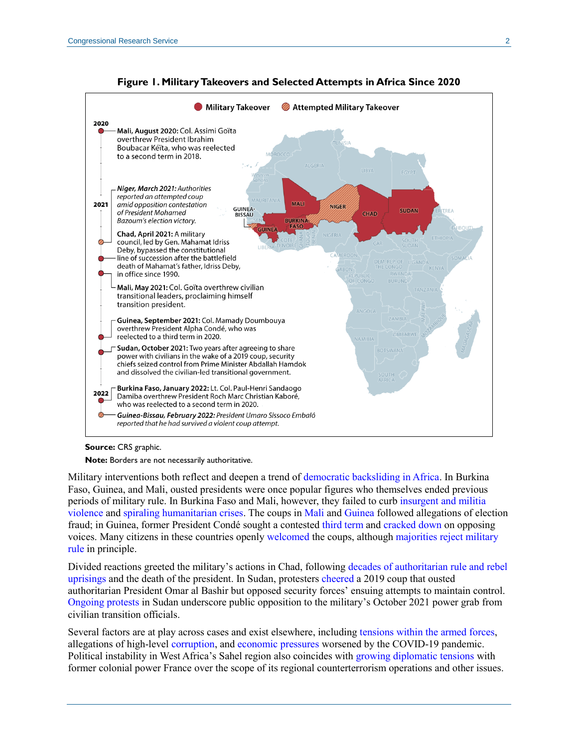

**Figure 1. Military Takeovers and Selected Attempts in Africa Since 2020**

#### **Source:** CRS graphic.

**Note:** Borders are not necessarily authoritative.

Military interventions both reflect and deepen a trend of [democratic backsliding in Africa.](https://foreignaffairs.house.gov/2020/9/democratic-backsliding-in-sub-saharan-africa) In Burkina Faso, Guinea, and Mali, ousted presidents were once popular figures who themselves ended previous periods of military rule. In Burkina Faso and Mali, however, they failed to curb [insurgent and militia](https://information.tv5monde.com/afrique/au-burkina-faso-comme-au-mali-une-junte-largement-soutenue-par-l-opinion-publique-442309)  [violence](https://information.tv5monde.com/afrique/au-burkina-faso-comme-au-mali-une-junte-largement-soutenue-par-l-opinion-publique-442309) and [spiraling humanitarian crises.](https://reliefweb.int/report/burkina-faso/burkina-faso-shattered-worlds-fastest-growing-displacement-crisis) The coups in [Mali](https://www.france24.com/en/20200420-mali-election-runoff-tarnished-by-intimidation-and-allegations-of-vote-rigging) an[d Guinea](https://www.economist.com/middle-east-and-africa/2020/10/29/a-disputed-election-leads-to-violence-in-guinea) followed allegations of election fraud; in Guinea, former President Condé sought a contested [third term](https://www.france24.com/en/africa/20201215-guinea-s-president-cond%C3%A9-sworn-in-after-disputed-re-election-urges-unity) and [cracked down](https://www.amnesty.org/en/latest/campaigns/2021/02/guinee-fatal-crackdowns-and-imprisonement/) on opposing voices. Many citizens in these countries openly [welcomed](https://www.reuters.com/world/africa/coups-cheered-west-africa-islamist-insurgencies-sap-faith-democracy-2022-02-01/) the coups, although majorities [reject military](https://afrobarometer.org/sites/default/files/press-release/Algeria%2C%20Benin%2C%20Botswana%2C%20Burkina%20Faso%2C%20Burundi%2C%20Cameroon%2C%20Cape%20Verde%2C%20C%C3%B4te%20d%26%23039%3BIvoire%2C%20Egypt%2C%20eSwatini%2C%20Gabon%2C%20Ghana%2C%20Guinea%2C%20Kenya%2C%20Lesotho%2C%20Liberia%2C%20Madagascar%2C%20Malawi%2C%20Mali%2C%20Mauritius%2C%20Morocco%2C%20Mozambique%2C%20Namibia%2C%20Niger%2C.pdf)  [rule](https://afrobarometer.org/sites/default/files/press-release/Algeria%2C%20Benin%2C%20Botswana%2C%20Burkina%20Faso%2C%20Burundi%2C%20Cameroon%2C%20Cape%20Verde%2C%20C%C3%B4te%20d%26%23039%3BIvoire%2C%20Egypt%2C%20eSwatini%2C%20Gabon%2C%20Ghana%2C%20Guinea%2C%20Kenya%2C%20Lesotho%2C%20Liberia%2C%20Madagascar%2C%20Malawi%2C%20Mali%2C%20Mauritius%2C%20Morocco%2C%20Mozambique%2C%20Namibia%2C%20Niger%2C.pdf) in principle.

Divided reactions greeted the military's actions in Chad, following [decades of authoritarian rule and rebel](https://africacenter.org/spotlight/chads-ongoing-instability-the-legacy-of-idriss-deby/)  [uprisings](https://africacenter.org/spotlight/chads-ongoing-instability-the-legacy-of-idriss-deby/) and the death of the president. In Sudan, protesters [cheered](https://apnews.com/article/39d086b7a00f4c44933e5b43b082c23c) a 2019 coup that ousted authoritarian President Omar al Bashir but opposed security forces' ensuing attempts to maintain control. [Ongoing protests](https://www.hrw.org/news/2022/02/03/sudan-ongoing-clampdown-peaceful-protesters) in Sudan underscore public opposition to the military's October 2021 power grab from civilian transition officials.

Several factors are at play across cases and exist elsewhere, including [tensions within the armed forces,](https://www.crisisgroup.org/africa/sahel/burkina-faso/linsecurite-facteur-determinant-du-putsch-de-ouagadougou) allegations of high-level [corruption,](https://www.france24.com/en/20200901-mali-must-tackle-impunity-injustice-corruption) an[d economic pressures](https://www.reuters.com/world/africa/sudan-inflation-slows-38756-august-2021-09-14/) worsened by the COVID-19 pandemic. Political instability in West Africa's Sahel region also coincides with [growing diplomatic tensions](https://www.usnews.com/news/world/articles/2022-02-03/explainer-france-in-sticky-situation-amid-crisis-with-mali#:~:text=Mali) with former colonial power France over the scope of its regional counterterrorism operations and other issues.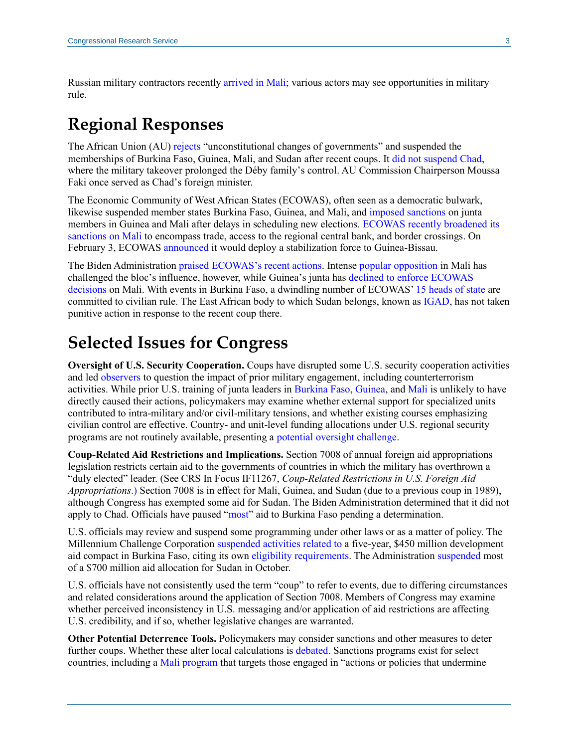Russian military contractors recently [arrived in Mali;](https://www.voanews.com/a/voa-exclusive-us-africom-commander-says-russian-mercenaries-in-mali/6406371.html) various actors may see opportunities in military rule.

# **Regional Responses**

The African Union (AU) [rejects](https://au.int/sites/default/files/pages/34873-file-constitutiveact_en.pdf) "unconstitutional changes of governments" and suspended the memberships of Burkina Faso, Guinea, Mali, and Sudan after recent coups. It [did not suspend Chad,](https://issafrica.org/iss-today/au-balancing-act-on-chads-coup-sets-a-disturbing-precedent) where the military takeover prolonged the Déby family's control. AU Commission Chairperson Moussa Faki once served as Chad's foreign minister.

The Economic Community of West African States (ECOWAS), often seen as a democratic bulwark, likewise suspended member states Burkina Faso, Guinea, and Mali, and [imposed sanctions](https://www.ecowas.int/wp-content/uploads/2021/11/Eng.Communiquei%CC%80-Final-Sommet-7-novembre-2021.pdf) on junta members in Guinea and Mali after delays in scheduling new elections. [ECOWAS recently broadened its](https://www.ecowas.int/wp-content/uploads/2022/01/Final-Communique-on-Summit-on-Mali-Eng-080122.pdf) [sanctions on Mali](https://www.ecowas.int/wp-content/uploads/2022/01/Final-Communique-on-Summit-on-Mali-Eng-080122.pdf) to encompass trade, access to the regional central bank, and border crossings. On February 3, ECOWAS [announced](https://www.ecowas.int/wp-content/uploads/2022/02/Eng.-Final-Communique-03022022.pdf) it would deploy a stabilization force to Guinea-Bissau.

The Biden Administration [praised](https://www.state.gov/ecowas-action-on-mali/) [ECOWAS's recent actions.](https://www.state.gov/the-united-states-support-of-ecowas-and-african-union-actions-on-burkina-faso/) Intense [popular opposition](https://www.voanews.com/a/malians-protest-ecowas-sanctions-/6397444.html) in Mali has challenged the bloc's influence, however, while Guinea's junta has [declined to enforce ECOWAS](https://www.africanews.com/2022/01/11/guinea-keeps-borders-open-with-mali-hit-by-ecowas-sanctions/)  [decisions](https://www.africanews.com/2022/01/11/guinea-keeps-borders-open-with-mali-hit-by-ecowas-sanctions/) on Mali. With events in Burkina Faso, a dwindling number of ECOWAS' 15 [heads of state](https://www.ecowas.int/member-states/) are committed to civilian rule. The East African body to which Sudan belongs, known as [IGAD,](https://igad.int/) has not taken punitive action in response to the recent coup there.

## **Selected Issues for Congress**

**Oversight of U.S. Security Cooperation.** Coups have disrupted some U.S. security cooperation activities and led [observers](https://foreignpolicy.com/2022/02/03/burkina-faso-coup-us-security-assistance-terrorism-military/) to question the impact of prior military engagement, including counterterrorism activities. While prior U.S. training of junta leaders in [Burkina Faso,](https://www.nytimes.com/2022/01/25/world/africa/burkina-faso-coup-russians.html) [Guinea,](https://www.nytimes.com/2021/09/10/world/africa/guinea-coup-americans.html) and [Mali](https://www.washingtonpost.com/world/asia_pacific/mali-coup-leader-was-trained-by-us-special-operations-forces/2020/08/21/33153fbe-e31c-11ea-82d8-5e55d47e90ca_story.html) is unlikely to have directly caused their actions, policymakers may examine whether external support for specialized units contributed to intra-military and/or civil-military tensions, and whether existing courses emphasizing civilian control are effective. Country- and unit-level funding allocations under U.S. regional security programs are not routinely available, presenting a [potential oversight challenge.](https://crsreports.congress.gov/product/pdf/TE/TE10044)

**Coup-Related Aid Restrictions and Implications.** Section 7008 of annual foreign aid appropriations legislation restricts certain aid to the governments of countries in which the military has overthrown a "duly elected" leader. (See CRS In Focus IF11267, *[Coup-Related Restrictions in U.S. Foreign Aid](https://crsreports.congress.gov/product/pdf/IF/IF11267)  [Appropriations](https://crsreports.congress.gov/product/pdf/IF/IF11267)*.) Section 7008 is in effect for Mali, Guinea, and Sudan (due to a previous coup in 1989), although Congress has exempted some aid for Sudan. The Biden Administration determined that it did not apply to Chad. Officials have paused ["most"](https://www.state.gov/briefings/department-press-briefing-february-2-2022/) aid to Burkina Faso pending a determination.

U.S. officials may review and suspend some programming under other laws or as a matter of policy. The Millennium Challenge Corporation suspended [activities related to](https://www.mcc.gov/where-we-work/program/burkina-faso-compact-ii) a five-year, \$450 million development aid compact in Burkina Faso, citing its ow[n eligibility requirements.](https://crsreports.congress.gov/product/pdf/RL/RL32427#_Toc21440729) The Administration [suspended](https://apnews.com/article/middle-east-africa-sudan-khartoum-96e7b33b6e1045fce01189e81b36814a) most of a \$700 million aid allocation for Sudan in October.

U.S. officials have not consistently used the term "coup" to refer to events, due to differing circumstances and related considerations around the application of Section 7008. Members of Congress may examine whether perceived inconsistency in U.S. messaging and/or application of aid restrictions are affecting U.S. credibility, and if so, whether legislative changes are warranted.

**Other Potential Deterrence Tools.** Policymakers may consider sanctions and other measures to deter further coups. Whether these alter local calculations is [debated.](https://theglobalobservatory.org/2022/02/ecowas-sanctions-against-mali-necessary-but-may-be-counter-productive/) Sanctions programs exist for select countries, including a [Mali program](https://home.treasury.gov/system/files/126/13882.pdf) that targets those engaged in "actions or policies that undermine